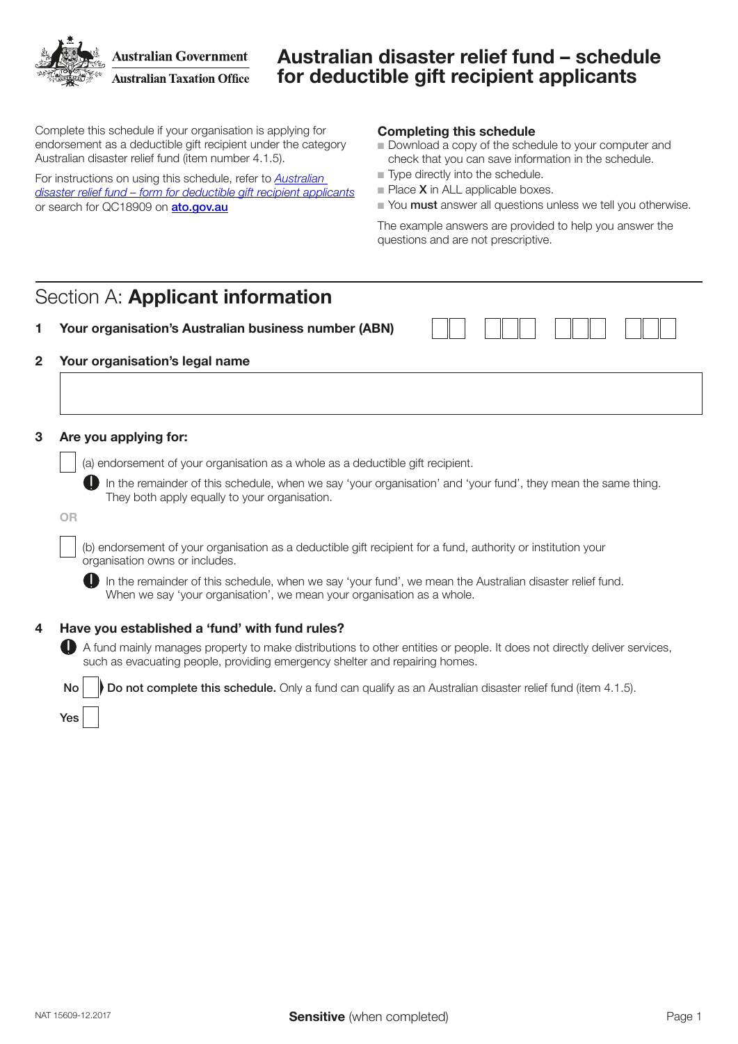**Australian Government Australian Taxation Office** 

## Australian disaster relief fund – schedule for deductible gift recipient applicants

Complete this schedule if your organisation is applying for endorsement as a deductible gift recipient under the category Australian disaster relief fund (item number 4.1.5).

For instructions on using this schedule, refer to *[Australian](https://www.ato.gov.au/non-profit/getting-started/in-detail/dgr-schedules/australian-disaster-relief-fund---schedule-for-deductible-gift-recipient-applicants/)  [disaster relief fund – form for deductible gift recipient applicants](https://www.ato.gov.au/non-profit/getting-started/in-detail/dgr-schedules/australian-disaster-relief-fund---schedule-for-deductible-gift-recipient-applicants/)* or search for QC18909 on [ato.gov.au](https://ato.gov.au)

#### Completing this schedule

- Download a copy of the schedule to your computer and check that you can save information in the schedule.
- $\blacksquare$  Type directly into the schedule.
- $\blacksquare$  Place **X** in ALL applicable boxes.
- Nou must answer all questions unless we tell you otherwise.

The example answers are provided to help you answer the questions and are not prescriptive.

# Section A: Applicant information

| Your organisation's Australian business number (ABN) |
|------------------------------------------------------|
|------------------------------------------------------|

## 2 Your organisation's legal name

#### 3 Are you applying for:

(a) endorsement of your organisation as a whole as a deductible gift recipient.

 In the remainder of this schedule, when we say 'your organisation' and 'your fund', they mean the same thing. They both apply equally to your organisation.

OR

Yes

(b) endorsement of your organisation as a deductible gift recipient for a fund, authority or institution your organisation owns or includes.

In the remainder of this schedule, when we say 'your fund', we mean the Australian disaster relief fund. When we say 'your organisation', we mean your organisation as a whole.

### 4 Have you established a 'fund' with fund rules?

 A fund mainly manages property to make distributions to other entities or people. It does not directly deliver services, such as evacuating people, providing emergency shelter and repairing homes.

No **Do not complete this schedule.** Only a fund can qualify as an Australian disaster relief fund (item 4.1.5).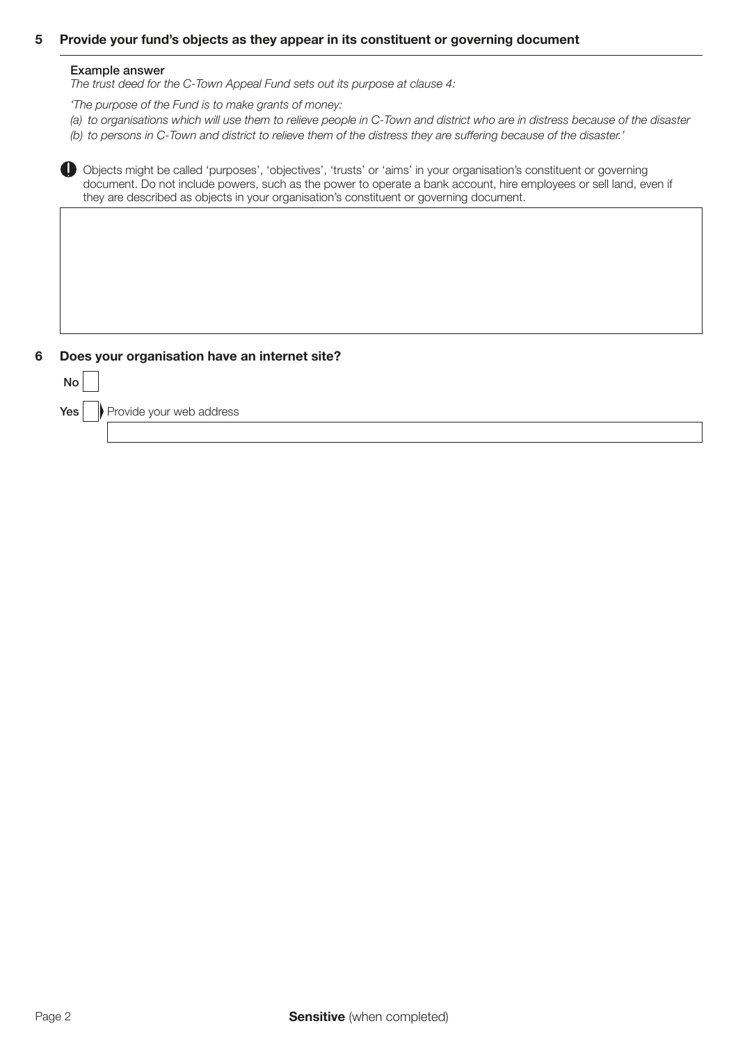### 5 Provide your fund's objects as they appear in its constituent or governing document

#### Example answer

*The trust deed for the C-Town Appeal Fund sets out its purpose at clause 4:*

*'The purpose of the Fund is to make grants of money:*

*(a)* to organisations which will use them to relieve people in C-Town and district who are in distress because of the disaster *(b) to persons in C-Town and district to relieve them of the distress they are suffering because of the disaster.'*

 Objects might be called 'purposes', 'objectives', 'trusts' or 'aims' in your organisation's constituent or governing document. Do not include powers, such as the power to operate a bank account, hire employees or sell land, even if they are described as objects in your organisation's constituent or governing document.

#### 6 Does your organisation have an internet site?

| No <sub>1</sub> |                                              |
|-----------------|----------------------------------------------|
|                 | <b>Yes</b> $\ \n\ $ Provide your web address |
|                 |                                              |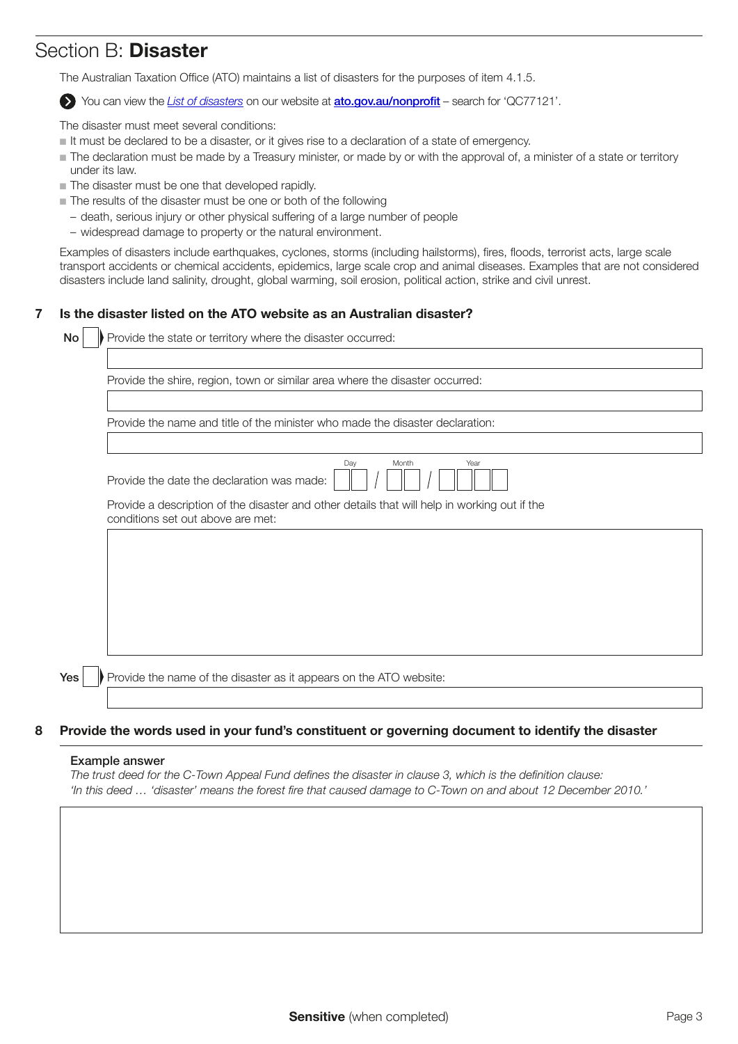## Section B: Disaster

The Australian Taxation Office (ATO) maintains a list of disasters for the purposes of item 4.1.5.

You can view the *[List of disasters](https://www.ato.gov.au/Non-profit/Gifts-and-fundraising/In-detail/Disasters/List-of-disasters/)* on our website at **[ato.gov.au/nonprofit](http://www.ato.gov.au/Non-profit/)** – search for 'QC77121'.

The disaster must meet several conditions:

- $\blacksquare$  It must be declared to be a disaster, or it gives rise to a declaration of a state of emergency.
- The declaration must be made by a Treasury minister, or made by or with the approval of, a minister of a state or territory under its law.
- $\blacksquare$  The disaster must be one that developed rapidly.
- $\blacksquare$  The results of the disaster must be one or both of the following
	- death, serious injury or other physical suffering of a large number of people
	- widespread damage to property or the natural environment.

Examples of disasters include earthquakes, cyclones, storms (including hailstorms), fires, floods, terrorist acts, large scale transport accidents or chemical accidents, epidemics, large scale crop and animal diseases. Examples that are not considered disasters include land salinity, drought, global warming, soil erosion, political action, strike and civil unrest.

### 7 Is the disaster listed on the ATO website as an Australian disaster?

| Provide the state or territory where the disaster occurred:                                                                       |
|-----------------------------------------------------------------------------------------------------------------------------------|
|                                                                                                                                   |
| Provide the shire, region, town or similar area where the disaster occurred:                                                      |
|                                                                                                                                   |
| Provide the name and title of the minister who made the disaster declaration:                                                     |
|                                                                                                                                   |
| Month<br>Day<br>Year<br>Provide the date the declaration was made:                                                                |
| Provide a description of the disaster and other details that will help in working out if the<br>conditions set out above are met: |
|                                                                                                                                   |
|                                                                                                                                   |
|                                                                                                                                   |
|                                                                                                                                   |
|                                                                                                                                   |
|                                                                                                                                   |
|                                                                                                                                   |
| Provide the name of the disaster as it appears on the ATO website:                                                                |

### 8 Provide the words used in your fund's constituent or governing document to identify the disaster

#### Example answer

*The trust deed for the C-Town Appeal Fund defines the disaster in clause 3, which is the definition clause: 'In this deed … 'disaster' means the forest fire that caused damage to C-Town on and about 12 December 2010.'*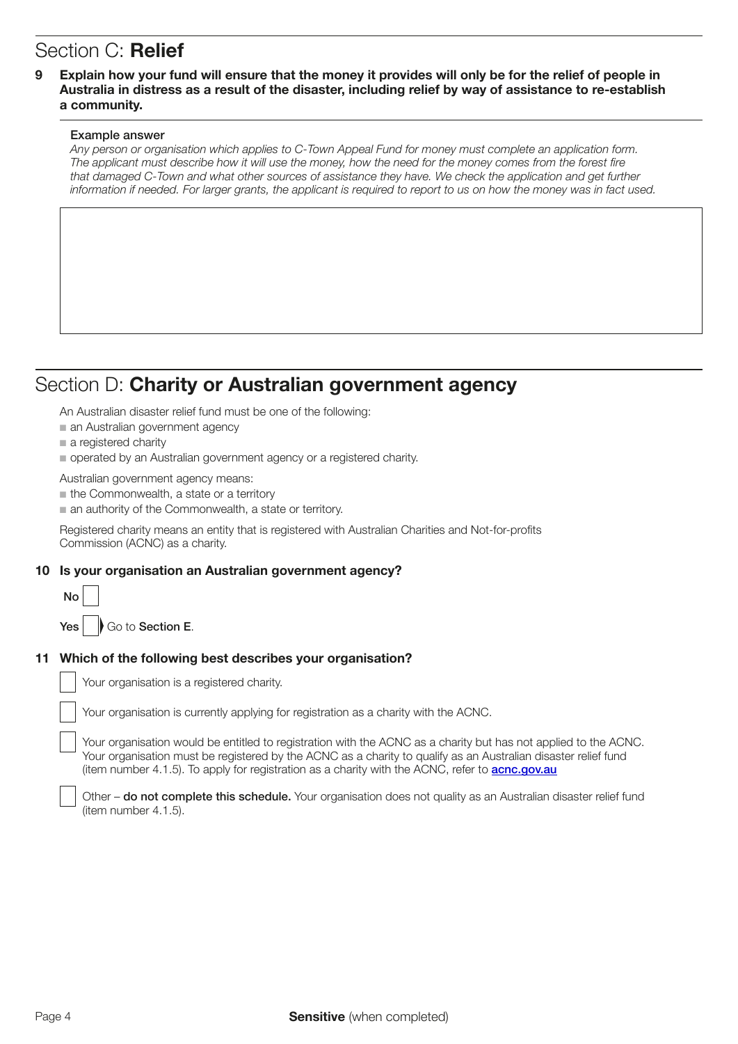# Section C: Relief

## 9 Explain how your fund will ensure that the money it provides will only be for the relief of people in Australia in distress as a result of the disaster, including relief by way of assistance to re-establish a community.

#### Example answer

*Any person or organisation which applies to C-Town Appeal Fund for money must complete an application form.*  The applicant must describe how it will use the money, how the need for the money comes from the forest fire that damaged C-Town and what other sources of assistance they have. We check the application and get further information if needed. For larger grants, the applicant is required to report to us on how the money was in fact used.

## Section D: Charity or Australian government agency

An Australian disaster relief fund must be one of the following:

- $\blacksquare$  an Australian government agency
- $\blacksquare$  a registered charity
- $\blacksquare$  operated by an Australian government agency or a registered charity.

Australian government agency means:

 $n$  the Commonwealth, a state or a territory

 $\blacksquare$  an authority of the Commonwealth, a state or territory.

Registered charity means an entity that is registered with Australian Charities and Not-for-profits Commission (ACNC) as a charity.

### 10 Is your organisation an Australian government agency?

| $\mathsf{No}$ |                        |  |
|---------------|------------------------|--|
|               | Yes   Go to Section E. |  |

# 11 Which of the following best describes your organisation?

|  | Your organisation is a registered charity. |  |  |
|--|--------------------------------------------|--|--|

Your organisation is currently applying for registration as a charity with the ACNC.

Your organisation would be entitled to registration with the ACNC as a charity but has not applied to the ACNC. Your organisation must be registered by the ACNC as a charity to qualify as an Australian disaster relief fund (item number 4.1.5). To apply for registration as a charity with the ACNC, refer to **[acnc.gov.au](http://www.acnc.gov.au)** 

Other – **do not complete this schedule.** Your organisation does not quality as an Australian disaster relief fund (item number 4.1.5).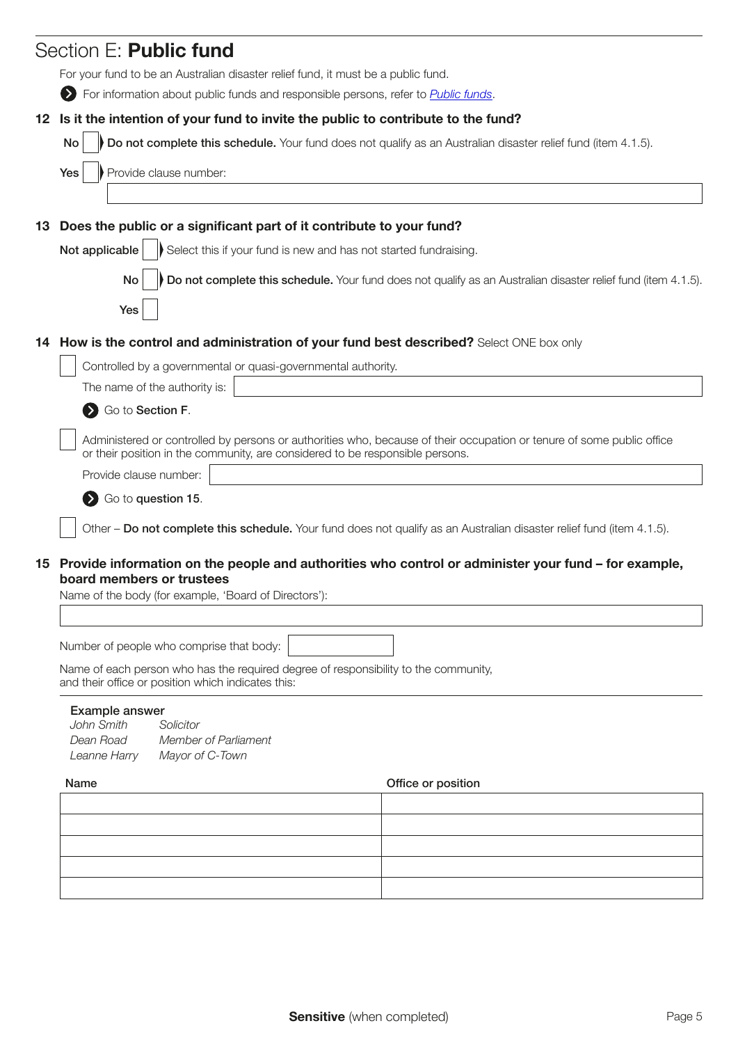|                                                                                                                                                             | Section E: Public fund                                                                                                                                                                                 |  |  |  |                                                                     |
|-------------------------------------------------------------------------------------------------------------------------------------------------------------|--------------------------------------------------------------------------------------------------------------------------------------------------------------------------------------------------------|--|--|--|---------------------------------------------------------------------|
|                                                                                                                                                             | For your fund to be an Australian disaster relief fund, it must be a public fund.                                                                                                                      |  |  |  |                                                                     |
|                                                                                                                                                             | > For information about public funds and responsible persons, refer to <i>Public funds</i> .                                                                                                           |  |  |  |                                                                     |
|                                                                                                                                                             | 12 Is it the intention of your fund to invite the public to contribute to the fund?                                                                                                                    |  |  |  |                                                                     |
|                                                                                                                                                             | Do not complete this schedule. Your fund does not qualify as an Australian disaster relief fund (item 4.1.5).<br>No                                                                                    |  |  |  |                                                                     |
|                                                                                                                                                             | Provide clause number:<br>Yes                                                                                                                                                                          |  |  |  |                                                                     |
|                                                                                                                                                             |                                                                                                                                                                                                        |  |  |  |                                                                     |
| 13                                                                                                                                                          | Does the public or a significant part of it contribute to your fund?                                                                                                                                   |  |  |  |                                                                     |
|                                                                                                                                                             | Not applicable<br>Select this if your fund is new and has not started fundraising.                                                                                                                     |  |  |  |                                                                     |
|                                                                                                                                                             | Do not complete this schedule. Your fund does not qualify as an Australian disaster relief fund (item 4.1.5).<br>No                                                                                    |  |  |  |                                                                     |
|                                                                                                                                                             |                                                                                                                                                                                                        |  |  |  |                                                                     |
|                                                                                                                                                             | Yes                                                                                                                                                                                                    |  |  |  |                                                                     |
|                                                                                                                                                             | 14 How is the control and administration of your fund best described? Select ONE box only                                                                                                              |  |  |  |                                                                     |
|                                                                                                                                                             | Controlled by a governmental or quasi-governmental authority.                                                                                                                                          |  |  |  |                                                                     |
|                                                                                                                                                             | The name of the authority is:                                                                                                                                                                          |  |  |  |                                                                     |
|                                                                                                                                                             | Go to Section F.                                                                                                                                                                                       |  |  |  |                                                                     |
|                                                                                                                                                             | Administered or controlled by persons or authorities who, because of their occupation or tenure of some public office<br>or their position in the community, are considered to be responsible persons. |  |  |  |                                                                     |
|                                                                                                                                                             | Provide clause number:                                                                                                                                                                                 |  |  |  |                                                                     |
|                                                                                                                                                             | Go to question 15.                                                                                                                                                                                     |  |  |  |                                                                     |
|                                                                                                                                                             | Other - Do not complete this schedule. Your fund does not qualify as an Australian disaster relief fund (item 4.1.5).                                                                                  |  |  |  |                                                                     |
|                                                                                                                                                             |                                                                                                                                                                                                        |  |  |  |                                                                     |
|                                                                                                                                                             | 15 Provide information on the people and authorities who control or administer your fund – for example,<br>board members or trustees                                                                   |  |  |  |                                                                     |
|                                                                                                                                                             | Name of the body (for example, 'Board of Directors'):                                                                                                                                                  |  |  |  |                                                                     |
|                                                                                                                                                             |                                                                                                                                                                                                        |  |  |  |                                                                     |
|                                                                                                                                                             | Number of people who comprise that body:                                                                                                                                                               |  |  |  |                                                                     |
| Name of each person who has the required degree of responsibility to the community,<br>and their office or position which indicates this:<br>Example answer |                                                                                                                                                                                                        |  |  |  |                                                                     |
|                                                                                                                                                             |                                                                                                                                                                                                        |  |  |  | John Smith<br>Solicitor<br>Dean Road<br><b>Member of Parliament</b> |
|                                                                                                                                                             | Mayor of C-Town<br>Leanne Harry                                                                                                                                                                        |  |  |  |                                                                     |
|                                                                                                                                                             | Name<br>Office or position                                                                                                                                                                             |  |  |  |                                                                     |
|                                                                                                                                                             |                                                                                                                                                                                                        |  |  |  |                                                                     |
|                                                                                                                                                             |                                                                                                                                                                                                        |  |  |  |                                                                     |
|                                                                                                                                                             |                                                                                                                                                                                                        |  |  |  |                                                                     |
|                                                                                                                                                             |                                                                                                                                                                                                        |  |  |  |                                                                     |
|                                                                                                                                                             |                                                                                                                                                                                                        |  |  |  |                                                                     |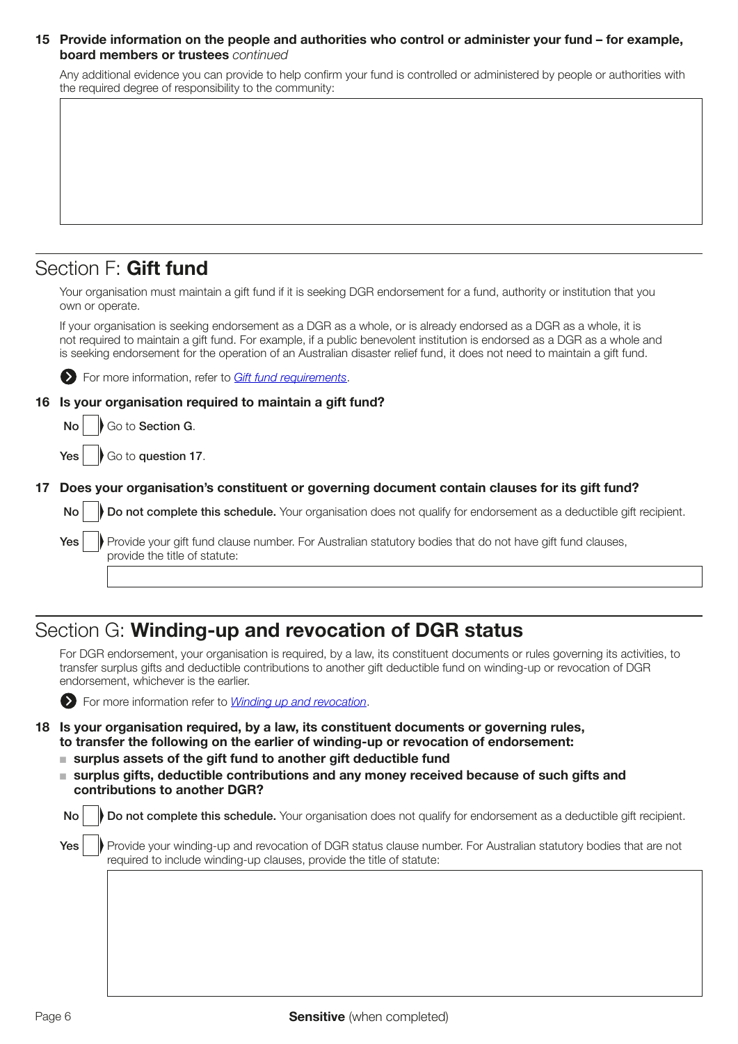#### 15 Provide information on the people and authorities who control or administer your fund – for example, board members or trustees *continued*

Any additional evidence you can provide to help confirm your fund is controlled or administered by people or authorities with the required degree of responsibility to the community:

## Section F: Gift fund

Your organisation must maintain a gift fund if it is seeking DGR endorsement for a fund, authority or institution that you own or operate.

If your organisation is seeking endorsement as a DGR as a whole, or is already endorsed as a DGR as a whole, it is not required to maintain a gift fund. For example, if a public benevolent institution is endorsed as a DGR as a whole and is seeking endorsement for the operation of an Australian disaster relief fund, it does not need to maintain a gift fund.

For more information, refer to *[Gift fund requirements](https://www.ato.gov.au/non-profit/getting-started/in-detail/types-of-dgrs/public-funds/?anchor=Public_fund_be_a_gift_fund#Public_fund_be_a_gift_fund)*.

### 16 Is your organisation required to maintain a gift fund?

 $\mathsf{No} \parallel \mathsf{No}$  Go to Section G.

 $Yes |$  Go to question 17.

### 17 Does your organisation's constituent or governing document contain clauses for its gift fund?

 $\mathsf{No} \parallel \mathsf{Do}$  not complete this schedule. Your organisation does not qualify for endorsement as a deductible gift recipient.

Yes **Provide your gift fund clause number.** For Australian statutory bodies that do not have gift fund clauses, provide the title of statute:

## Section G: Winding-up and revocation of DGR status

For DGR endorsement, your organisation is required, by a law, its constituent documents or rules governing its activities, to transfer surplus gifts and deductible contributions to another gift deductible fund on winding-up or revocation of DGR endorsement, whichever is the earlier.



**Example 3** For more information refer to *[Winding up and revocation](https://www.ato.gov.au/Non-profit/Getting-started/In-detail/Types-of-DGRs/Rules-and-tests-for-DGR-endorsement/?anchor=Windingupandrevocation1#Windingupandrevocation1)*.

- 18 Is your organisation required, by a law, its constituent documents or governing rules, to transfer the following on the earlier of winding-up or revocation of endorsement:
	- $\blacksquare$  surplus assets of the gift fund to another gift deductible fund
	- $\blacksquare$  surplus gifts, deductible contributions and any money received because of such gifts and contributions to another DGR?

| No <sub>1</sub> | Do not complete this schedule. Your organisation does not qualify for endorsement as a deductible gift recipient.                                                                         |
|-----------------|-------------------------------------------------------------------------------------------------------------------------------------------------------------------------------------------|
| Yes             | Provide your winding-up and revocation of DGR status clause number. For Australian statutory bodies that are not<br>required to include winding-up clauses, provide the title of statute: |
|                 |                                                                                                                                                                                           |